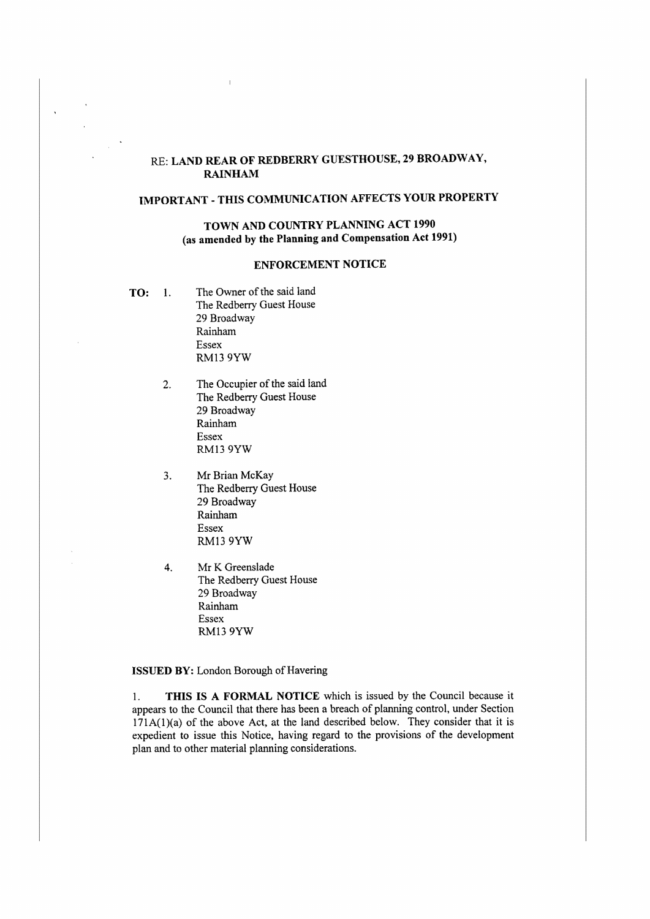## RE: **LAND REAR OF REDBERRY GUESTHOUSE, 29 BROADWAY, RAINHAM**

# **IMPORTANT** - **THIS COMMUNICATION AFFECTS YOUR PROPERTY**

### **TOWN AND COUNTRY PLANNING ACT 1990 (as amended by the Planning and Compensation Act 1991)**

#### **ENFORCEMENT NOTICE**

**TO: l.** The Owner of the said land The Redberry Guest House 29 Broadway Rainham Essex RM139YW

 $\lambda$ 

- 2. The Occupier of the said land The Redberry Guest House 29 Broadway Rainham Essex RM13 9YW
- 3. Mr Brian McKay The Redberry Guest House 29 Broadway Rainham Essex RM13 9YW
- 4. Mr K Greenslade The Redberry Guest House 29 Broadway Rainham Essex RM13 9YW

#### **ISSUED BY:** London Borough of Havering

1. **THIS IS A FORMAL NOTICE** which is issued by the Council because it appears to the Council that there has been a breach of planning control, under Section  $171A(1)(a)$  of the above Act, at the land described below. They consider that it is expedient to issue this Notice, having regard to the provisions of the development plan and to other material planning considerations.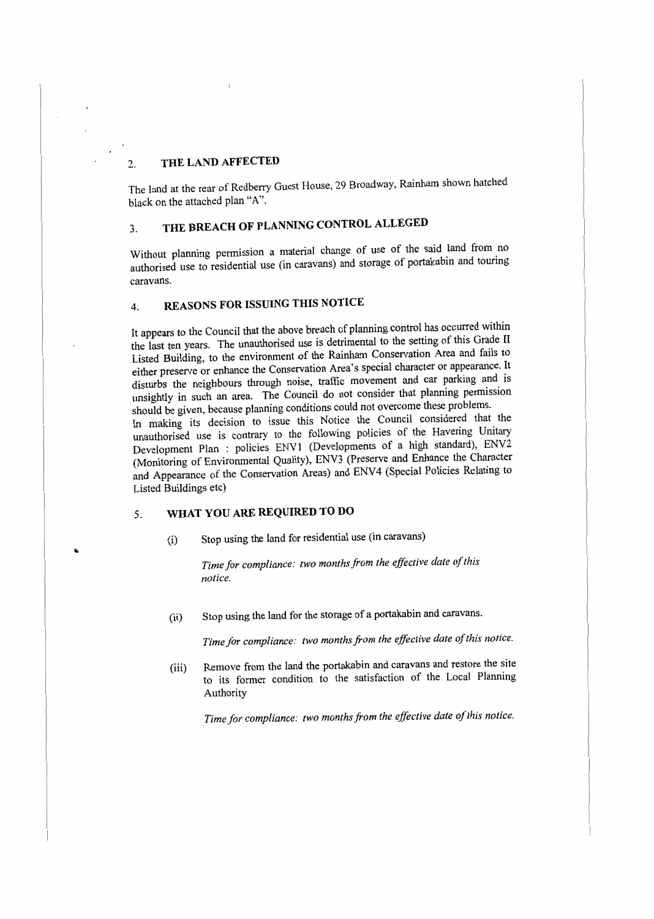## 2. **THE LAND AFFECTED**

The land at the rear of Redberry Guest House, 29 Broadway, Rainham shown hatched black on the attached plan "A''.

# 3. **THE BREACH OF PLANNING CONTROL ALLEGED**

Without planning permission a material change of use of the said land from no authorised use to residential use (in caravans) and storage of portakabin and touring caravans.

## 4. **REASONS FOR ISSUING THIS NOTICE**

It appears to the Council that the above breach of planning control has occurred within the last ten years. The unauthorised use is detrimental to the setting of this Grade II Listed Building, to the environment of the Rainham Conservation Area and fails to either preserve or enhance the Conservation Area's special character or appearance. It disturbs the neighbours through noise, traffic movement and car parking and is unsightly in such an area. The Council do not consider that planning permission should be given, because planning conditions could not overcome these problems.

In making its decision to issue this Notice the Council considered that the unauthorised use is contrary to the following policies of the Havering Unitary Development Plan : policies ENV1 (Developments of a high standard), ENV2 (Monitoring of Environmental Quality), ENV3 (Preserve and Enhance the Character and Appearance of the Conservation Areas) and ENV4 (Special Policies Relating to Listed Buildings etc)

# 5. **WHAT YOU ARE REQUIRED TO DO**

(i) Stop using the land for residential use (in caravans)

*Time for compliance: two months from the effective date ofthis notice.* 

(ii) Stop using the land for the storage of a portakabin and caravans.

Time for compliance: two months from the effective date of this notice.

(iii) Remove from the land the portakabin and caravans and restore the site to its former condition to the satisfaction of the Local Planning Authority

Time for compliance: two months from the effective date of this notice.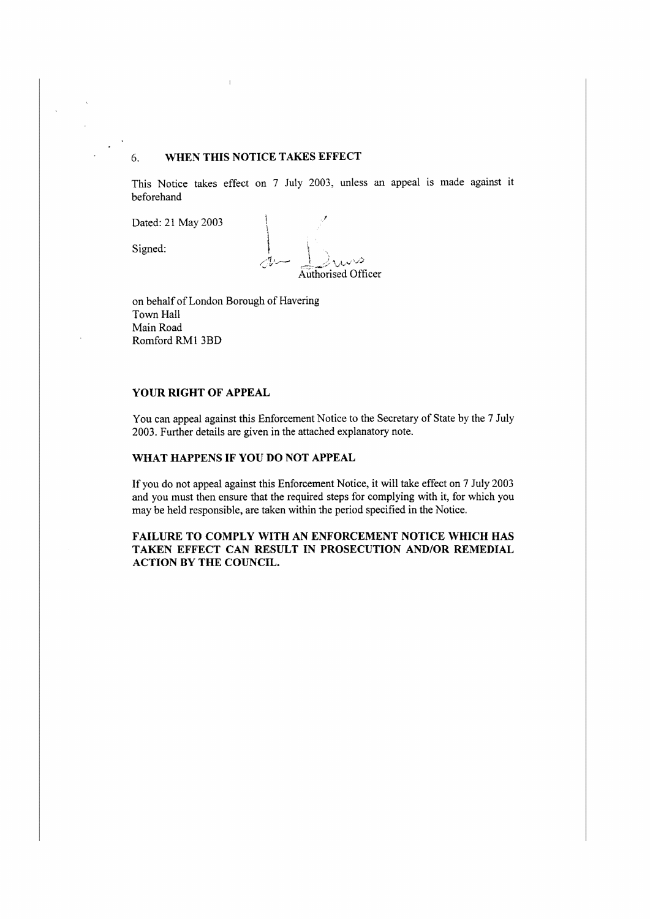### 6. **WHEN THIS NOTICE TAKES EFFECT**

This Notice takes effect on 7 July 2003, unless an appeal is made against it beforehand

Dated: 21 May 2003

Signed:

Authorised Officer

on behalf of London Borough of Havering Town Hall Main Road Romford RMl JBD

#### **YOUR RIGHT OF APPEAL**

You can appeal against this Enforcement Notice to the Secretary of State by the 7 July 2003. Further details are given in the attached explanatory note.

#### **WHAT HAPPENS IF YOU DO NOT APPEAL**

If you do not appeal against this Enforcement Notice, it will take effect on 7 July 2003 and you must then ensure that the required steps for complying with it, for which you may be held responsible, are taken within the period specified in the Notice.

**FAILURE TO COMPLY WITH AN ENFORCEMENT NOTICE WHICH HAS TAKEN EFFECT CAN RESULT IN PROSECUTION AND/OR REMEDIAL ACTION BY THE COUNCIL.**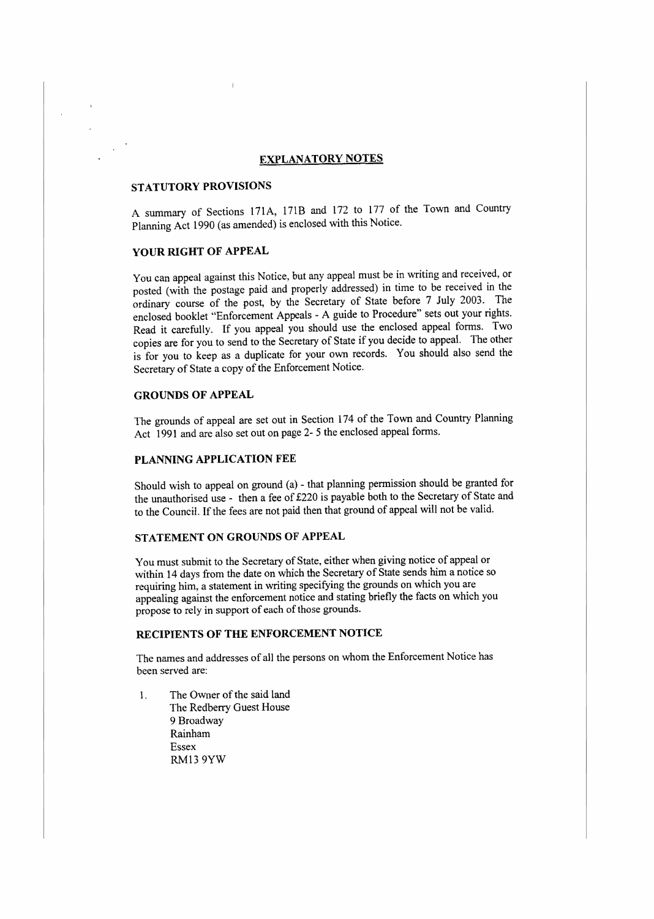#### **EXPLANATORY NOTES**

#### **STATUTORY PROVISIONS**

A summary of Sections 171A, 171B and 172 to 177 of the Town and Country Planning Act 1990 (as amended) is enclosed with this Notice.

# **YOUR RIGHT OF APPEAL**

You can appeal against this Notice, but any appeal must be in writing and received, or posted (with the postage paid and properly addressed) in time to be received in the ordinary course of the post, by the Secretary of State before 7 July 2003. The enclosed booklet "Enforcement Appeals - A guide to Procedure" sets out your rights. Read it carefully. If you appeal you should use the enclosed appeal forms. Two copies are for you to send to the Secretary of State if you decide to appeal. The other is for you to keep as a duplicate for your own records. You should also send the Secretary of State a copy of the Enforcement Notice.

#### **GROUNDS OF APPEAL**

The grounds of appeal are set out in Section 174 of the Town and Country Planning Act 1991 and arc also set out on page 2- 5 the enclosed appeal forms.

#### **PLANNING APPLICATION FEE**

Should wish to appeal on ground (a) - that planning permission should be granted for the unauthorised use - then a fee of £220 is payable both to the Secretary of State and to the Council. If the fees are not paid then that ground of appeal will not be valid.

#### **STATEMENT ON GROUNDS OF APPEAL**

You must submit to the Secretary of State, either when giving notice of appeal or within 14 days from the date on which the Secretary of State sends him a notice so requiring him, a statement in writing specifying the grounds on which you are appealing against the enforcement notice and stating briefly the facts on which you propose to rely in support of each of those grounds.

#### **RECIPIENTS OF THE ENFORCEMENT NOTICE**

The names and addresses of all the persons on whom the Enforcement Notice has been served are:

1. The Owner of the said land The Redberry Guest House 9 Broadway Rainham Essex RM13 9YW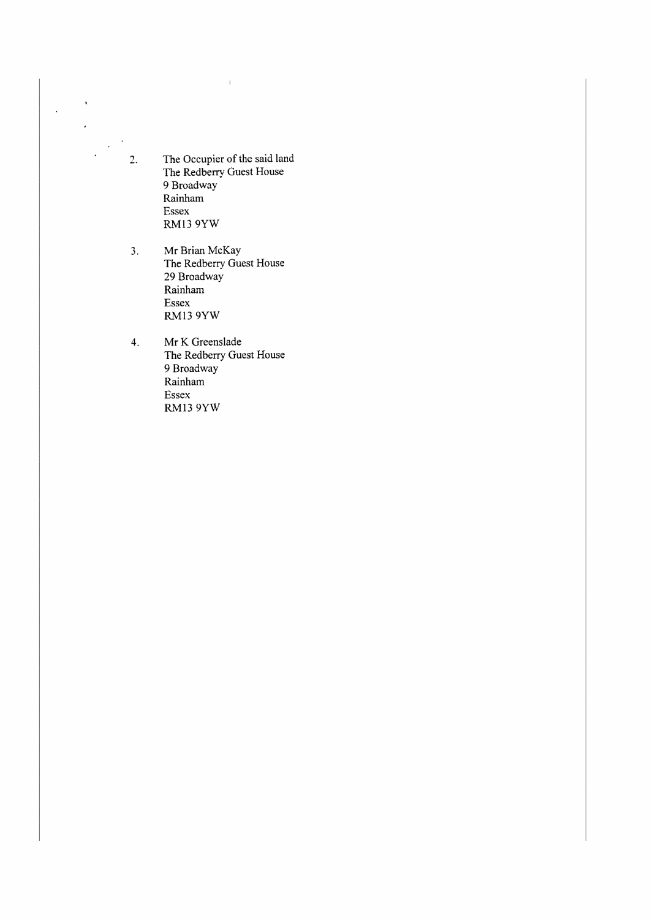$2.$ The Occupier of the said land The Redberry Guest House 9 Broadway Rainham Essex RM13 9YW

 $\bar{\mathbf{r}}$ 

 $\overline{\phantom{a}}$ 

 $\ddot{\phantom{a}}$  $\Delta$ 

 $\bar{\mathcal{A}}$ 

 $\bar{\rm I}$ 

- 3. Mr Brian McKay The Redberry Guest House 29 Broadway Rainham Essex RM13 9YW
- 4. Mr K Greenslade The Redberry Guest House 9 Broadway Rainham Essex **RM13 9YW**